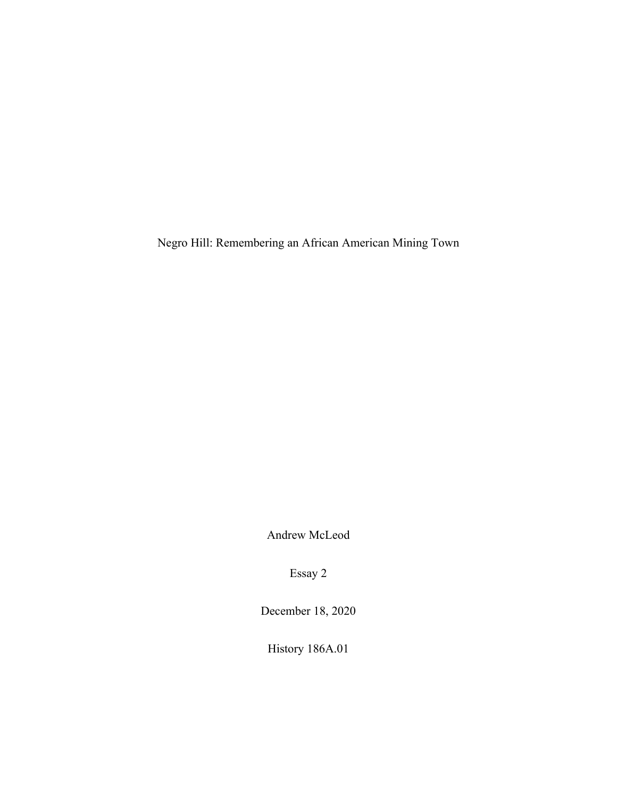Negro Hill: Remembering an African American Mining Town

Andrew McLeod

Essay 2

December 18, 2020

History 186A.01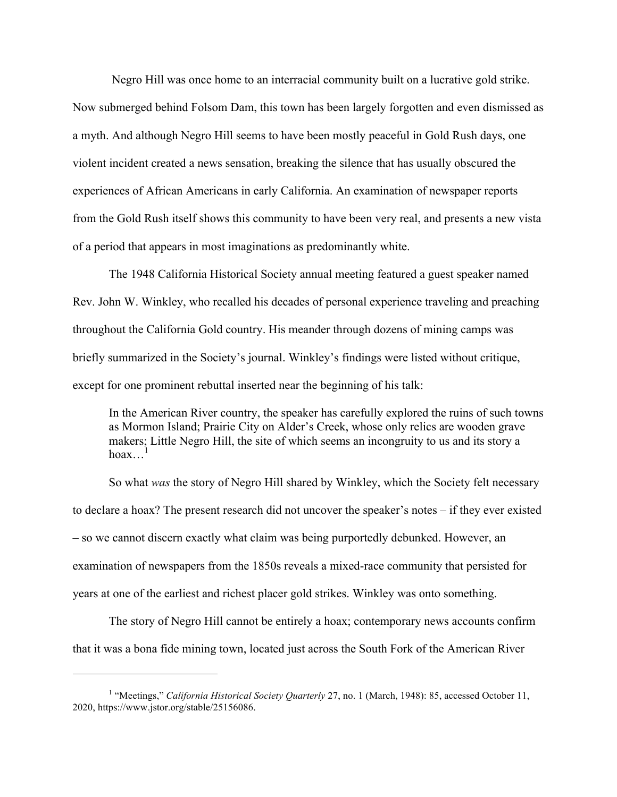Negro Hill was once home to an interracial community built on a lucrative gold strike. Now submerged behind Folsom Dam, this town has been largely forgotten and even dismissed as a myth. And although Negro Hill seems to have been mostly peaceful in Gold Rush days, one violent incident created a news sensation, breaking the silence that has usually obscured the experiences of African Americans in early California. An examination of newspaper reports from the Gold Rush itself shows this community to have been very real, and presents a new vista of a period that appears in most imaginations as predominantly white.

The 1948 California Historical Society annual meeting featured a guest speaker named Rev. John W. Winkley, who recalled his decades of personal experience traveling and preaching throughout the California Gold country. His meander through dozens of mining camps was briefly summarized in the Society's journal. Winkley's findings were listed without critique, except for one prominent rebuttal inserted near the beginning of his talk:

In the American River country, the speaker has carefully explored the ruins of such towns as Mormon Island; Prairie City on Alder's Creek, whose only relics are wooden grave makers; Little Negro Hill, the site of which seems an incongruity to us and its story a hoax $\ldots$ <sup>1</sup>

So what *was* the story of Negro Hill shared by Winkley, which the Society felt necessary to declare a hoax? The present research did not uncover the speaker's notes – if they ever existed – so we cannot discern exactly what claim was being purportedly debunked. However, an examination of newspapers from the 1850s reveals a mixed-race community that persisted for years at one of the earliest and richest placer gold strikes. Winkley was onto something.

The story of Negro Hill cannot be entirely a hoax; contemporary news accounts confirm that it was a bona fide mining town, located just across the South Fork of the American River

<sup>&</sup>lt;sup>1</sup> "Meetings," *California Historical Society Quarterly* 27, no. 1 (March, 1948): 85, accessed October 11, 2020, https://www.jstor.org/stable/25156086.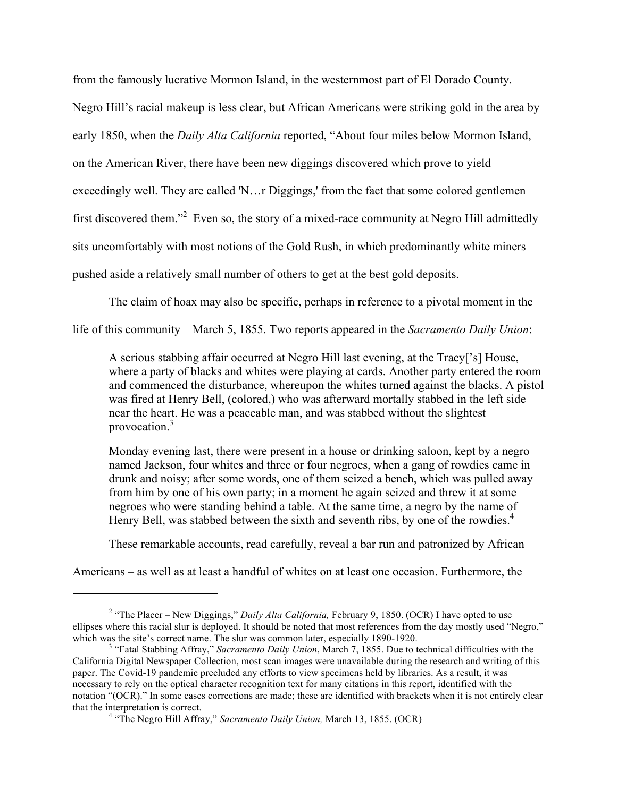from the famously lucrative Mormon Island, in the westernmost part of El Dorado County.

Negro Hill's racial makeup is less clear, but African Americans were striking gold in the area by

early 1850, when the *Daily Alta California* reported, "About four miles below Mormon Island,

on the American River, there have been new diggings discovered which prove to yield

exceedingly well. They are called 'N…r Diggings,' from the fact that some colored gentlemen

first discovered them."<sup>2</sup> Even so, the story of a mixed-race community at Negro Hill admittedly

sits uncomfortably with most notions of the Gold Rush, in which predominantly white miners

pushed aside a relatively small number of others to get at the best gold deposits.

The claim of hoax may also be specific, perhaps in reference to a pivotal moment in the

life of this community – March 5, 1855. Two reports appeared in the *Sacramento Daily Union*:

A serious stabbing affair occurred at Negro Hill last evening, at the Tracy['s] House, where a party of blacks and whites were playing at cards. Another party entered the room and commenced the disturbance, whereupon the whites turned against the blacks. A pistol was fired at Henry Bell, (colored,) who was afterward mortally stabbed in the left side near the heart. He was a peaceable man, and was stabbed without the slightest provocation.<sup>3</sup>

Monday evening last, there were present in a house or drinking saloon, kept by a negro named Jackson, four whites and three or four negroes, when a gang of rowdies came in drunk and noisy; after some words, one of them seized a bench, which was pulled away from him by one of his own party; in a moment he again seized and threw it at some negroes who were standing behind a table. At the same time, a negro by the name of Henry Bell, was stabbed between the sixth and seventh ribs, by one of the rowdies.<sup>4</sup>

These remarkable accounts, read carefully, reveal a bar run and patronized by African

Americans – as well as at least a handful of whites on at least one occasion. Furthermore, the

<sup>&</sup>lt;sup>2</sup> "The Placer – New Diggings," *Daily Alta California*, February 9, 1850. (OCR) I have opted to use ellipses where this racial slur is deployed. It should be noted that most references from the day mostly used "Negro," which was the site's correct name. The slur was common later, especially 1890-1920.

<sup>&</sup>lt;sup>3</sup> "Fatal Stabbing Affray," *Sacramento Daily Union*, March 7, 1855. Due to technical difficulties with the California Digital Newspaper Collection, most scan images were unavailable during the research and writing of this paper. The Covid-19 pandemic precluded any efforts to view specimens held by libraries. As a result, it was necessary to rely on the optical character recognition text for many citations in this report, identified with the notation "(OCR)." In some cases corrections are made; these are identified with brackets when it is not entirely clear that the interpretation is correct. <sup>4</sup>

<sup>&</sup>lt;sup>4</sup> "The Negro Hill Affray," *Sacramento Daily Union*, March 13, 1855. (OCR)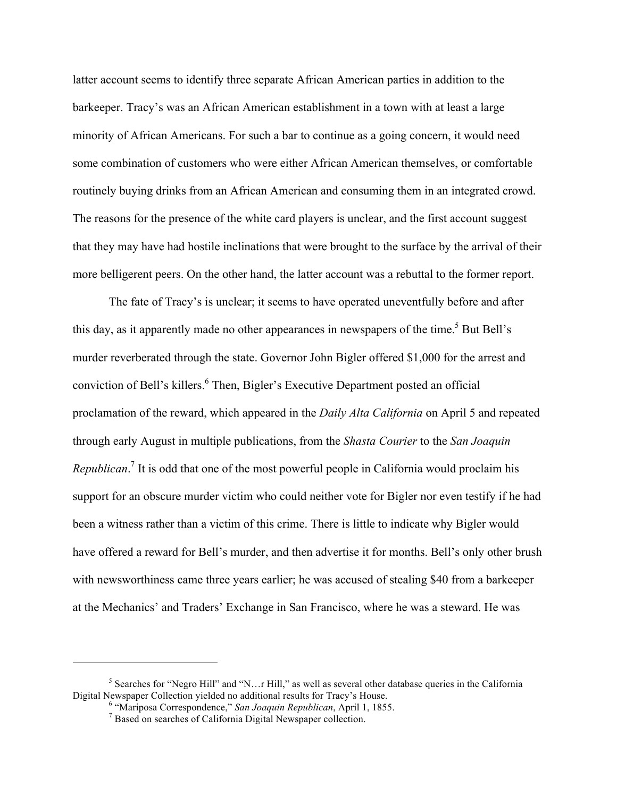latter account seems to identify three separate African American parties in addition to the barkeeper. Tracy's was an African American establishment in a town with at least a large minority of African Americans. For such a bar to continue as a going concern, it would need some combination of customers who were either African American themselves, or comfortable routinely buying drinks from an African American and consuming them in an integrated crowd. The reasons for the presence of the white card players is unclear, and the first account suggest that they may have had hostile inclinations that were brought to the surface by the arrival of their more belligerent peers. On the other hand, the latter account was a rebuttal to the former report.

The fate of Tracy's is unclear; it seems to have operated uneventfully before and after this day, as it apparently made no other appearances in newspapers of the time.<sup>5</sup> But Bell's murder reverberated through the state. Governor John Bigler offered \$1,000 for the arrest and conviction of Bell's killers. 6 Then, Bigler's Executive Department posted an official proclamation of the reward, which appeared in the *Daily Alta California* on April 5 and repeated through early August in multiple publications, from the *Shasta Courier* to the *San Joaquin Republican*. <sup>7</sup> It is odd that one of the most powerful people in California would proclaim his support for an obscure murder victim who could neither vote for Bigler nor even testify if he had been a witness rather than a victim of this crime. There is little to indicate why Bigler would have offered a reward for Bell's murder, and then advertise it for months. Bell's only other brush with newsworthiness came three years earlier; he was accused of stealing \$40 from a barkeeper at the Mechanics' and Traders' Exchange in San Francisco, where he was a steward. He was

<sup>&</sup>lt;sup>5</sup> Searches for "Negro Hill" and "N...r Hill," as well as several other database queries in the California Digital Newspaper Collection yielded no additional results for Tracy's House. <sup>6</sup>

<sup>&</sup>lt;sup>6</sup> "Mariposa Correspondence," San Joaquin Republican, April 1, 1855.

<sup>&</sup>lt;sup>7</sup> Based on searches of California Digital Newspaper collection.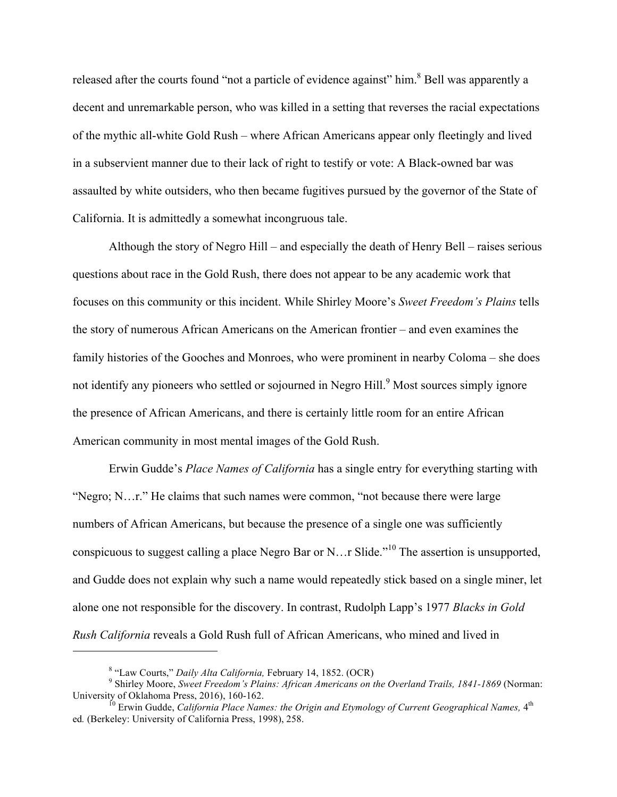released after the courts found "not a particle of evidence against" him.<sup>8</sup> Bell was apparently a decent and unremarkable person, who was killed in a setting that reverses the racial expectations of the mythic all-white Gold Rush – where African Americans appear only fleetingly and lived in a subservient manner due to their lack of right to testify or vote: A Black-owned bar was assaulted by white outsiders, who then became fugitives pursued by the governor of the State of California. It is admittedly a somewhat incongruous tale.

Although the story of Negro Hill – and especially the death of Henry Bell – raises serious questions about race in the Gold Rush, there does not appear to be any academic work that focuses on this community or this incident. While Shirley Moore's *Sweet Freedom's Plains* tells the story of numerous African Americans on the American frontier – and even examines the family histories of the Gooches and Monroes, who were prominent in nearby Coloma – she does not identify any pioneers who settled or sojourned in Negro Hill.<sup>9</sup> Most sources simply ignore the presence of African Americans, and there is certainly little room for an entire African American community in most mental images of the Gold Rush.

Erwin Gudde's *Place Names of California* has a single entry for everything starting with "Negro; N…r." He claims that such names were common, "not because there were large numbers of African Americans, but because the presence of a single one was sufficiently conspicuous to suggest calling a place Negro Bar or N... r Slide."<sup>10</sup> The assertion is unsupported, and Gudde does not explain why such a name would repeatedly stick based on a single miner, let alone one not responsible for the discovery. In contrast, Rudolph Lapp's 1977 *Blacks in Gold Rush California* reveals a Gold Rush full of African Americans, who mined and lived in

<sup>&</sup>lt;sup>8</sup> "Law Courts," *Daily Alta California*, February 14, 1852. (OCR)

<sup>&</sup>lt;sup>9</sup> Shirley Moore, *Sweet Freedom's Plains: African Americans on the Overland Trails, 1841-1869* (Norman: University of Oklahoma Press, 2016), 160-162.

University of Oklahoma Press, 2016), 160-162.<br><sup>10</sup> Erwin Gudde, *California Place Names: the Origin and Etymology of Current Geographical Names,* 4<sup>th</sup> ed*.* (Berkeley: University of California Press, 1998), 258.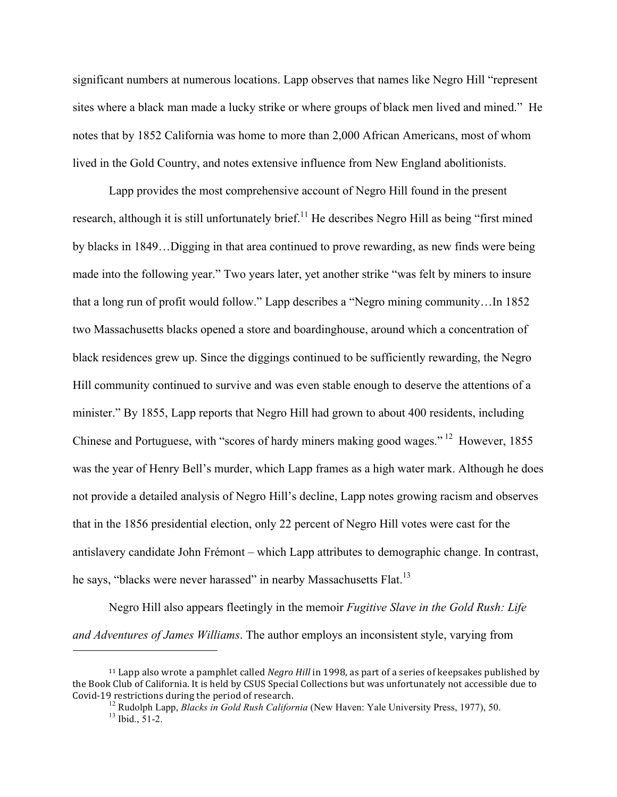significant numbers at numerous locations. Lapp observes that names like Negro Hill "represent sites where a black man made a lucky strike or where groups of black men lived and mined." He notes that by 1852 California was home to more than 2,000 African Americans, most of whom lived in the Gold Country, and notes extensive influence from New England abolitionists.

Lapp provides the most comprehensive account of Negro Hill found in the present research, although it is still unfortunately brief.<sup>11</sup> He describes Negro Hill as being "first mined by blacks in 1849…Digging in that area continued to prove rewarding, as new finds were being made into the following year." Two years later, yet another strike "was felt by miners to insure that a long run of profit would follow." Lapp describes a "Negro mining community…In 1852 two Massachusetts blacks opened a store and boardinghouse, around which a concentration of black residences grew up. Since the diggings continued to be sufficiently rewarding, the Negro Hill community continued to survive and was even stable enough to deserve the attentions of a minister." By 1855, Lapp reports that Negro Hill had grown to about 400 residents, including Chinese and Portuguese, with "scores of hardy miners making good wages." <sup>12</sup> However, 1855 was the year of Henry Bell's murder, which Lapp frames as a high water mark. Although he does not provide a detailed analysis of Negro Hill's decline, Lapp notes growing racism and observes that in the 1856 presidential election, only 22 percent of Negro Hill votes were cast for the antislavery candidate John Frémont – which Lapp attributes to demographic change. In contrast, he says, "blacks were never harassed" in nearby Massachusetts Flat.<sup>13</sup>

Negro Hill also appears fleetingly in the memoir *Fugitive Slave in the Gold Rush: Life and Adventures of James Williams*. The author employs an inconsistent style, varying from

<sup>&</sup>lt;sup>11</sup> Lapp also wrote a pamphlet called *Negro Hill* in 1998, as part of a series of keepsakes published by the Book Club of California. It is held by CSUS Special Collections but was unfortunately not accessible due to<br>Covid-19 restrictions during the period of research.

<sup>&</sup>lt;sup>12</sup> Rudolph Lapp, *Blacks in Gold Rush California* (New Haven: Yale University Press, 1977), 50. <sup>13</sup> Ibid., 51-2.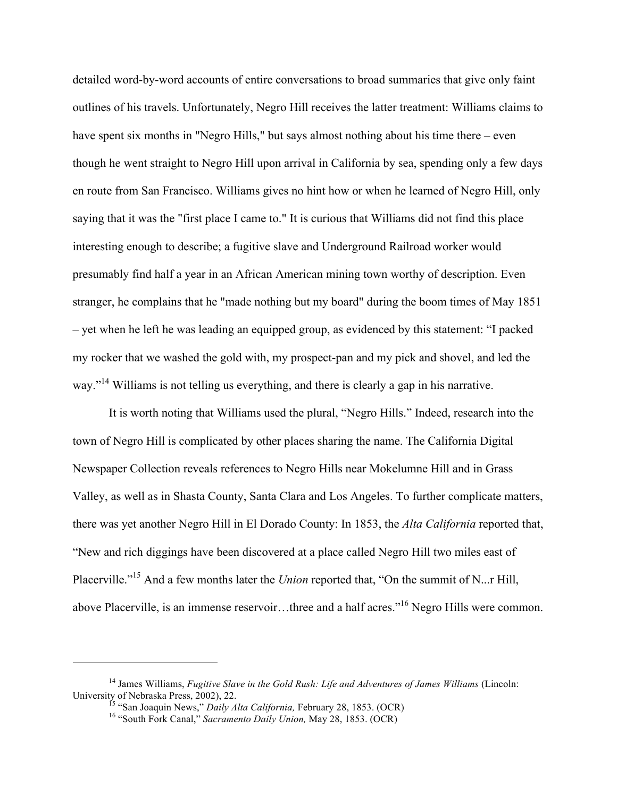detailed word-by-word accounts of entire conversations to broad summaries that give only faint outlines of his travels. Unfortunately, Negro Hill receives the latter treatment: Williams claims to have spent six months in "Negro Hills," but says almost nothing about his time there – even though he went straight to Negro Hill upon arrival in California by sea, spending only a few days en route from San Francisco. Williams gives no hint how or when he learned of Negro Hill, only saying that it was the "first place I came to." It is curious that Williams did not find this place interesting enough to describe; a fugitive slave and Underground Railroad worker would presumably find half a year in an African American mining town worthy of description. Even stranger, he complains that he "made nothing but my board" during the boom times of May 1851 – yet when he left he was leading an equipped group, as evidenced by this statement: "I packed my rocker that we washed the gold with, my prospect-pan and my pick and shovel, and led the way."<sup>14</sup> Williams is not telling us everything, and there is clearly a gap in his narrative.

It is worth noting that Williams used the plural, "Negro Hills." Indeed, research into the town of Negro Hill is complicated by other places sharing the name. The California Digital Newspaper Collection reveals references to Negro Hills near Mokelumne Hill and in Grass Valley, as well as in Shasta County, Santa Clara and Los Angeles. To further complicate matters, there was yet another Negro Hill in El Dorado County: In 1853, the *Alta California* reported that, "New and rich diggings have been discovered at a place called Negro Hill two miles east of Placerville.<sup>"<sup>15</sup> And a few months later the *Union* reported that, "On the summit of N...r Hill,</sup> above Placerville, is an immense reservoir…three and a half acres."16 Negro Hills were common.

<sup>&</sup>lt;sup>14</sup> James Williams, *Fugitive Slave in the Gold Rush: Life and Adventures of James Williams* (Lincoln: University of Nebraska Press, 2002), 22.<br><sup>15</sup> "San Joaquin News," *Daily Alta California*, February 28, 1853. (OCR) <sup>16</sup> "South Fork Canal," *Sacramento Daily Union*, May 28, 1853. (OCR)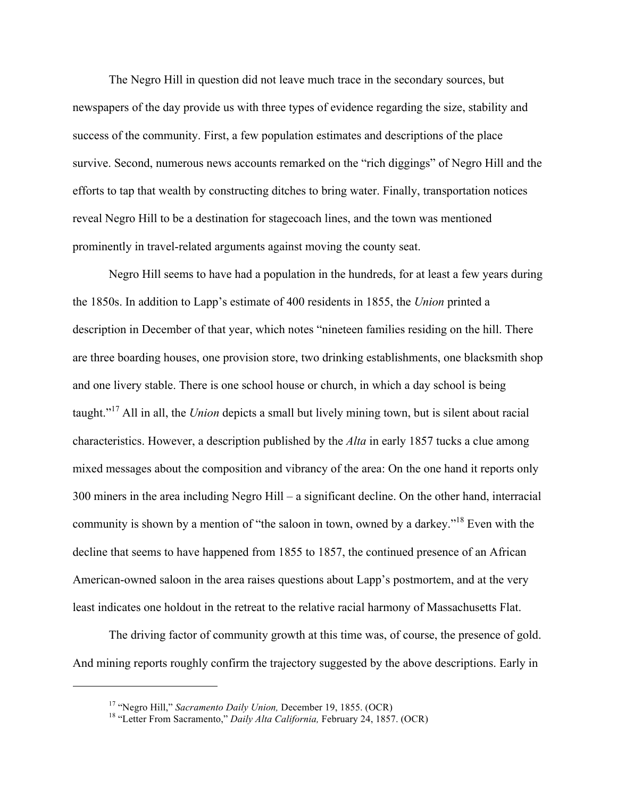The Negro Hill in question did not leave much trace in the secondary sources, but newspapers of the day provide us with three types of evidence regarding the size, stability and success of the community. First, a few population estimates and descriptions of the place survive. Second, numerous news accounts remarked on the "rich diggings" of Negro Hill and the efforts to tap that wealth by constructing ditches to bring water. Finally, transportation notices reveal Negro Hill to be a destination for stagecoach lines, and the town was mentioned prominently in travel-related arguments against moving the county seat.

Negro Hill seems to have had a population in the hundreds, for at least a few years during the 1850s. In addition to Lapp's estimate of 400 residents in 1855, the *Union* printed a description in December of that year, which notes "nineteen families residing on the hill. There are three boarding houses, one provision store, two drinking establishments, one blacksmith shop and one livery stable. There is one school house or church, in which a day school is being taught."17 All in all, the *Union* depicts a small but lively mining town, but is silent about racial characteristics. However, a description published by the *Alta* in early 1857 tucks a clue among mixed messages about the composition and vibrancy of the area: On the one hand it reports only 300 miners in the area including Negro Hill – a significant decline. On the other hand, interracial community is shown by a mention of "the saloon in town, owned by a darkey."<sup>18</sup> Even with the decline that seems to have happened from 1855 to 1857, the continued presence of an African American-owned saloon in the area raises questions about Lapp's postmortem, and at the very least indicates one holdout in the retreat to the relative racial harmony of Massachusetts Flat.

The driving factor of community growth at this time was, of course, the presence of gold. And mining reports roughly confirm the trajectory suggested by the above descriptions. Early in

<sup>&</sup>lt;sup>17</sup> "Negro Hill," *Sacramento Daily Union*, December 19, 1855. (OCR)<br><sup>18</sup> "Letter From Sacramento," *Daily Alta California*, February 24, 1857. (OCR)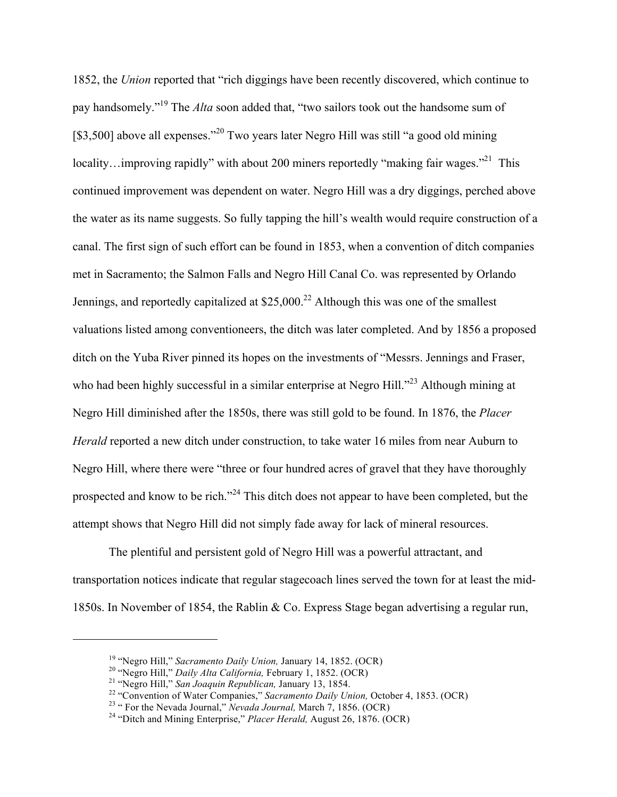1852, the *Union* reported that "rich diggings have been recently discovered, which continue to pay handsomely."19 The *Alta* soon added that, "two sailors took out the handsome sum of [\$3,500] above all expenses."<sup>20</sup> Two years later Negro Hill was still "a good old mining locality…improving rapidly" with about 200 miners reportedly "making fair wages."<sup>21</sup> This continued improvement was dependent on water. Negro Hill was a dry diggings, perched above the water as its name suggests. So fully tapping the hill's wealth would require construction of a canal. The first sign of such effort can be found in 1853, when a convention of ditch companies met in Sacramento; the Salmon Falls and Negro Hill Canal Co. was represented by Orlando Jennings, and reportedly capitalized at  $$25,000<sup>22</sup>$  Although this was one of the smallest valuations listed among conventioneers, the ditch was later completed. And by 1856 a proposed ditch on the Yuba River pinned its hopes on the investments of "Messrs. Jennings and Fraser, who had been highly successful in a similar enterprise at Negro Hill."<sup>23</sup> Although mining at Negro Hill diminished after the 1850s, there was still gold to be found. In 1876, the *Placer Herald* reported a new ditch under construction, to take water 16 miles from near Auburn to Negro Hill, where there were "three or four hundred acres of gravel that they have thoroughly prospected and know to be rich."<sup>24</sup> This ditch does not appear to have been completed, but the attempt shows that Negro Hill did not simply fade away for lack of mineral resources.

The plentiful and persistent gold of Negro Hill was a powerful attractant, and transportation notices indicate that regular stagecoach lines served the town for at least the mid-1850s. In November of 1854, the Rablin & Co. Express Stage began advertising a regular run,

<sup>&</sup>lt;sup>19</sup> "Negro Hill," *Sacramento Daily Union*, January 14, 1852. (OCR)<br><sup>20</sup> "Negro Hill," *Daily Alta California*, February 1, 1852. (OCR)<br><sup>21</sup> "Negro Hill," *San Joaquin Republican*, January 13, 1854.<br><sup>22</sup> "Convention of W